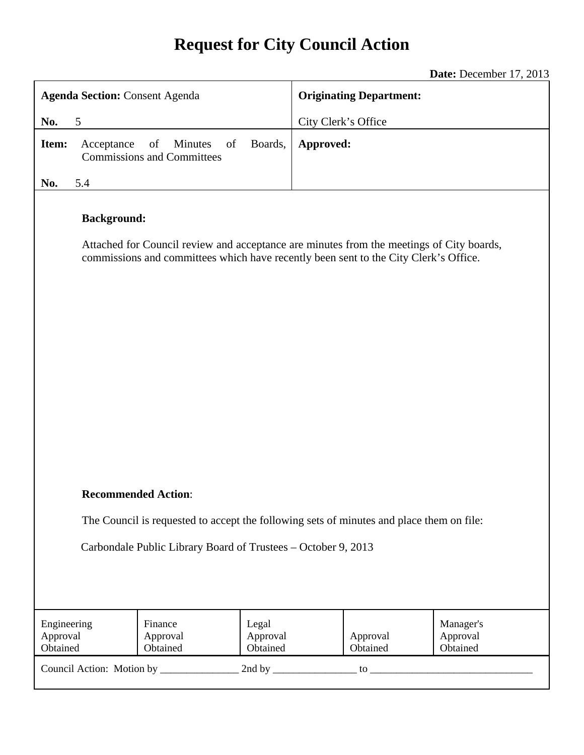# **Request for City Council Action**

**Date:** December 17, 2013

| <b>Agenda Section: Consent Agenda</b>                                                                                                                                                   |                                                                                                                                                                                                        |                                                          |                               | <b>Originating Department:</b> |                      |                                   |  |
|-----------------------------------------------------------------------------------------------------------------------------------------------------------------------------------------|--------------------------------------------------------------------------------------------------------------------------------------------------------------------------------------------------------|----------------------------------------------------------|-------------------------------|--------------------------------|----------------------|-----------------------------------|--|
| No.                                                                                                                                                                                     | 5                                                                                                                                                                                                      |                                                          |                               | City Clerk's Office            |                      |                                   |  |
| Item:                                                                                                                                                                                   | Acceptance                                                                                                                                                                                             | of<br>of<br>Minutes<br><b>Commissions and Committees</b> | Boards,                       | Approved:                      |                      |                                   |  |
| No.                                                                                                                                                                                     | 5.4                                                                                                                                                                                                    |                                                          |                               |                                |                      |                                   |  |
|                                                                                                                                                                                         | <b>Background:</b><br>Attached for Council review and acceptance are minutes from the meetings of City boards,<br>commissions and committees which have recently been sent to the City Clerk's Office. |                                                          |                               |                                |                      |                                   |  |
| <b>Recommended Action:</b><br>The Council is requested to accept the following sets of minutes and place them on file:<br>Carbondale Public Library Board of Trustees - October 9, 2013 |                                                                                                                                                                                                        |                                                          |                               |                                |                      |                                   |  |
| Engineering<br>Approval<br>Obtained                                                                                                                                                     |                                                                                                                                                                                                        | Finance<br>Approval<br>Obtained                          | Legal<br>Approval<br>Obtained |                                | Approval<br>Obtained | Manager's<br>Approval<br>Obtained |  |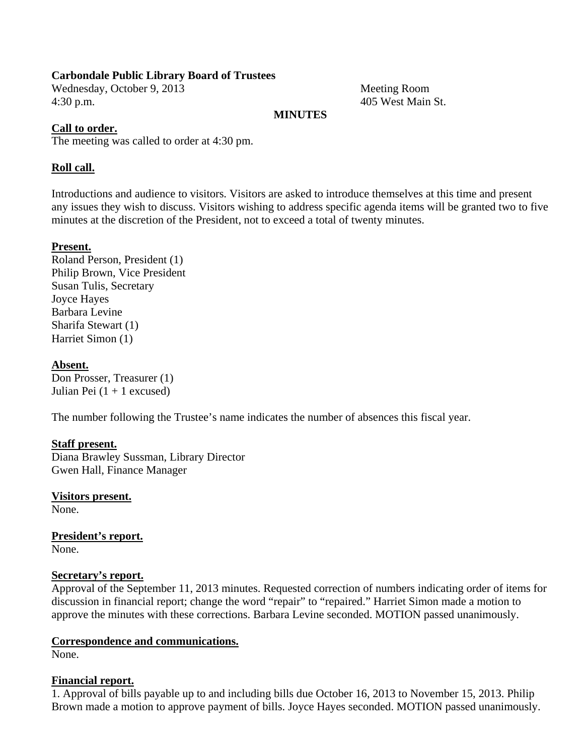#### **Carbondale Public Library Board of Trustees**

Wednesday, October 9, 2013 Meeting Room 4:30 p.m. 405 West Main St.

#### **MINUTES**

#### **Call to order.**

The meeting was called to order at 4:30 pm.

### **Roll call.**

Introductions and audience to visitors. Visitors are asked to introduce themselves at this time and present any issues they wish to discuss. Visitors wishing to address specific agenda items will be granted two to five minutes at the discretion of the President, not to exceed a total of twenty minutes.

#### **Present.**

Roland Person, President (1) Philip Brown, Vice President Susan Tulis, Secretary Joyce Hayes Barbara Levine Sharifa Stewart (1) Harriet Simon (1)

#### **Absent.**

Don Prosser, Treasurer (1) Julian Pei  $(1 + 1$  excused)

The number following the Trustee's name indicates the number of absences this fiscal year.

#### **Staff present.**

Diana Brawley Sussman, Library Director Gwen Hall, Finance Manager

**Visitors present.**  None.

**President's report.**  None.

#### **Secretary's report.**

Approval of the September 11, 2013 minutes. Requested correction of numbers indicating order of items for discussion in financial report; change the word "repair" to "repaired." Harriet Simon made a motion to approve the minutes with these corrections. Barbara Levine seconded. MOTION passed unanimously.

#### **Correspondence and communications.**

None.

#### **Financial report.**

1. Approval of bills payable up to and including bills due October 16, 2013 to November 15, 2013. Philip Brown made a motion to approve payment of bills. Joyce Hayes seconded. MOTION passed unanimously.